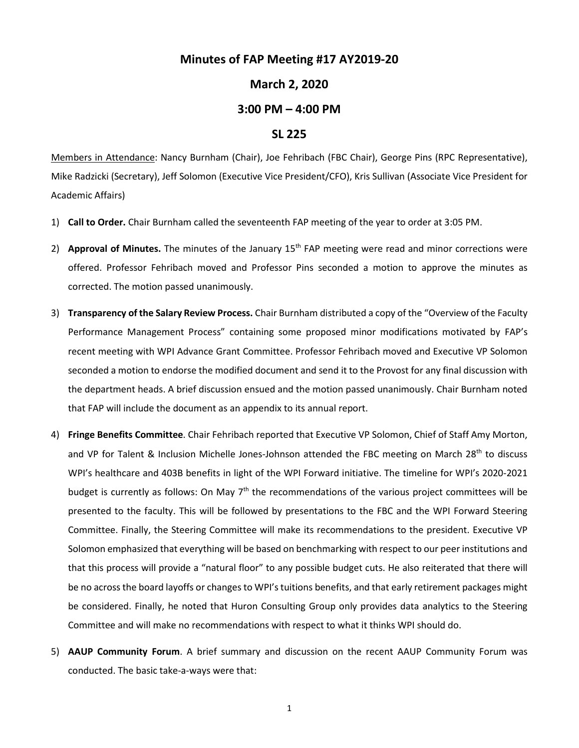## **Minutes of FAP Meeting #17 AY2019-20**

### **March 2, 2020**

# **3:00 PM – 4:00 PM**

#### **SL 225**

Members in Attendance: Nancy Burnham (Chair), Joe Fehribach (FBC Chair), George Pins (RPC Representative), Mike Radzicki (Secretary), Jeff Solomon (Executive Vice President/CFO), Kris Sullivan (Associate Vice President for Academic Affairs)

- 1) **Call to Order.** Chair Burnham called the seventeenth FAP meeting of the year to order at 3:05 PM.
- 2) **Approval of Minutes.** The minutes of the January 15<sup>th</sup> FAP meeting were read and minor corrections were offered. Professor Fehribach moved and Professor Pins seconded a motion to approve the minutes as corrected. The motion passed unanimously.
- 3) **Transparency of the Salary Review Process.** Chair Burnham distributed a copy of the "Overview of the Faculty Performance Management Process" containing some proposed minor modifications motivated by FAP's recent meeting with WPI Advance Grant Committee. Professor Fehribach moved and Executive VP Solomon seconded a motion to endorse the modified document and send it to the Provost for any final discussion with the department heads. A brief discussion ensued and the motion passed unanimously. Chair Burnham noted that FAP will include the document as an appendix to its annual report.
- 4) **Fringe Benefits Committee**. Chair Fehribach reported that Executive VP Solomon, Chief of Staff Amy Morton, and VP for Talent & Inclusion Michelle Jones-Johnson attended the FBC meeting on March 28<sup>th</sup> to discuss WPI's healthcare and 403B benefits in light of the WPI Forward initiative. The timeline for WPI's 2020-2021 budget is currently as follows: On May  $7<sup>th</sup>$  the recommendations of the various project committees will be presented to the faculty. This will be followed by presentations to the FBC and the WPI Forward Steering Committee. Finally, the Steering Committee will make its recommendations to the president. Executive VP Solomon emphasized that everything will be based on benchmarking with respect to our peer institutions and that this process will provide a "natural floor" to any possible budget cuts. He also reiterated that there will be no across the board layoffs or changes to WPI's tuitions benefits, and that early retirement packages might be considered. Finally, he noted that Huron Consulting Group only provides data analytics to the Steering Committee and will make no recommendations with respect to what it thinks WPI should do.
- 5) **AAUP Community Forum**. A brief summary and discussion on the recent AAUP Community Forum was conducted. The basic take-a-ways were that: